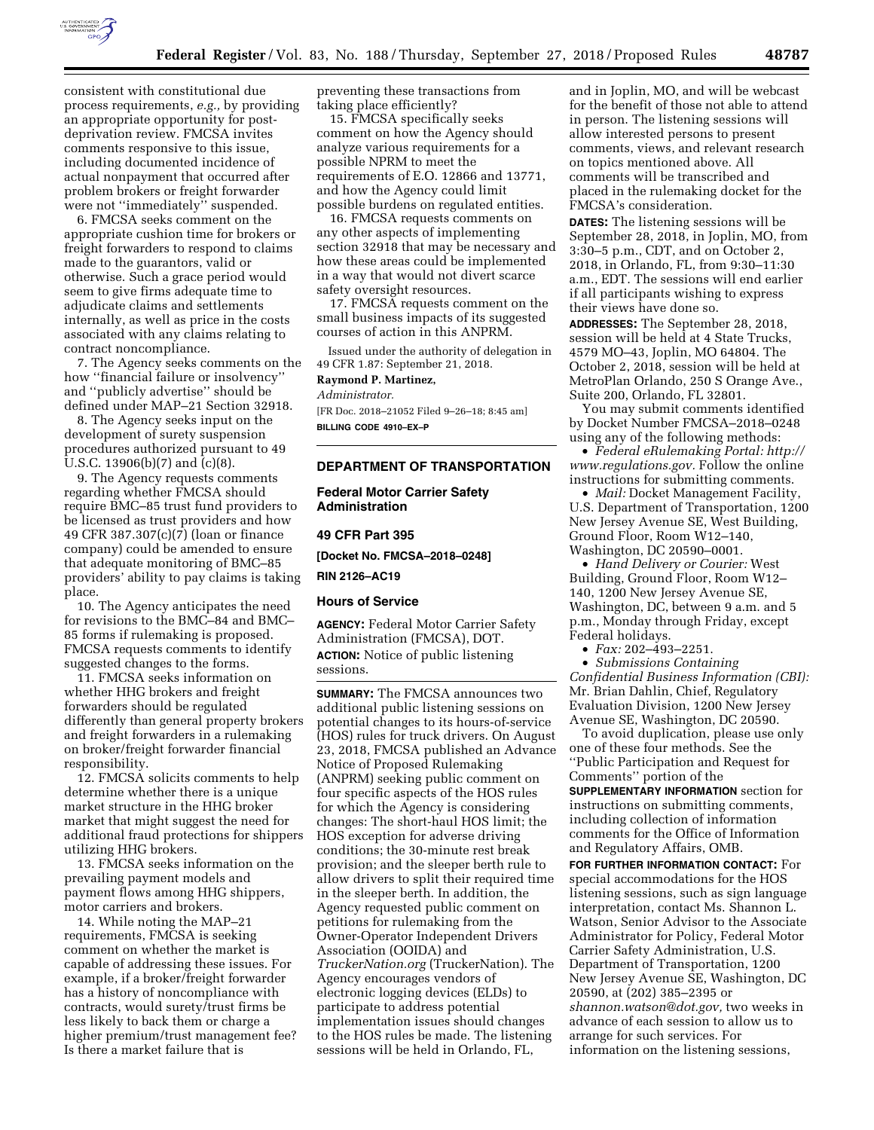

consistent with constitutional due process requirements, *e.g.,* by providing an appropriate opportunity for postdeprivation review. FMCSA invites comments responsive to this issue, including documented incidence of actual nonpayment that occurred after problem brokers or freight forwarder were not ''immediately'' suspended.

6. FMCSA seeks comment on the appropriate cushion time for brokers or freight forwarders to respond to claims made to the guarantors, valid or otherwise. Such a grace period would seem to give firms adequate time to adjudicate claims and settlements internally, as well as price in the costs associated with any claims relating to contract noncompliance.

7. The Agency seeks comments on the how ''financial failure or insolvency'' and ''publicly advertise'' should be defined under MAP–21 Section 32918.

8. The Agency seeks input on the development of surety suspension procedures authorized pursuant to 49 U.S.C. 13906(b)(7) and (c)(8).

9. The Agency requests comments regarding whether FMCSA should require BMC–85 trust fund providers to be licensed as trust providers and how 49 CFR 387.307(c)(7) (loan or finance company) could be amended to ensure that adequate monitoring of BMC–85 providers' ability to pay claims is taking place.

10. The Agency anticipates the need for revisions to the BMC–84 and BMC– 85 forms if rulemaking is proposed. FMCSA requests comments to identify suggested changes to the forms.

11. FMCSA seeks information on whether HHG brokers and freight forwarders should be regulated differently than general property brokers and freight forwarders in a rulemaking on broker/freight forwarder financial responsibility.

12. FMCSA solicits comments to help determine whether there is a unique market structure in the HHG broker market that might suggest the need for additional fraud protections for shippers utilizing HHG brokers.

13. FMCSA seeks information on the prevailing payment models and payment flows among HHG shippers, motor carriers and brokers.

14. While noting the MAP–21 requirements, FMCSA is seeking comment on whether the market is capable of addressing these issues. For example, if a broker/freight forwarder has a history of noncompliance with contracts, would surety/trust firms be less likely to back them or charge a higher premium/trust management fee? Is there a market failure that is

preventing these transactions from taking place efficiently?

15. FMCSA specifically seeks comment on how the Agency should analyze various requirements for a possible NPRM to meet the requirements of E.O. 12866 and 13771, and how the Agency could limit possible burdens on regulated entities.

16. FMCSA requests comments on any other aspects of implementing section 32918 that may be necessary and how these areas could be implemented in a way that would not divert scarce safety oversight resources.

17. FMCSA requests comment on the small business impacts of its suggested courses of action in this ANPRM.

Issued under the authority of delegation in 49 CFR 1.87: September 21, 2018.

# **Raymond P. Martinez,**

*Administrator.* 

[FR Doc. 2018–21052 Filed 9–26–18; 8:45 am] **BILLING CODE 4910–EX–P** 

#### **DEPARTMENT OF TRANSPORTATION**

**Federal Motor Carrier Safety Administration** 

#### **49 CFR Part 395**

**[Docket No. FMCSA–2018–0248]** 

**RIN 2126–AC19** 

#### **Hours of Service**

**AGENCY:** Federal Motor Carrier Safety Administration (FMCSA), DOT. **ACTION:** Notice of public listening sessions.

**SUMMARY:** The FMCSA announces two additional public listening sessions on potential changes to its hours-of-service (HOS) rules for truck drivers. On August 23, 2018, FMCSA published an Advance Notice of Proposed Rulemaking (ANPRM) seeking public comment on four specific aspects of the HOS rules for which the Agency is considering changes: The short-haul HOS limit; the HOS exception for adverse driving conditions; the 30-minute rest break provision; and the sleeper berth rule to allow drivers to split their required time in the sleeper berth. In addition, the Agency requested public comment on petitions for rulemaking from the Owner-Operator Independent Drivers Association (OOIDA) and *TruckerNation.org* (TruckerNation). The Agency encourages vendors of electronic logging devices (ELDs) to participate to address potential implementation issues should changes to the HOS rules be made. The listening sessions will be held in Orlando, FL,

and in Joplin, MO, and will be webcast for the benefit of those not able to attend in person. The listening sessions will allow interested persons to present comments, views, and relevant research on topics mentioned above. All comments will be transcribed and placed in the rulemaking docket for the FMCSA's consideration.

**DATES:** The listening sessions will be September 28, 2018, in Joplin, MO, from 3:30–5 p.m., CDT, and on October 2, 2018, in Orlando, FL, from 9:30–11:30 a.m., EDT. The sessions will end earlier if all participants wishing to express their views have done so.

**ADDRESSES:** The September 28, 2018, session will be held at 4 State Trucks, 4579 MO–43, Joplin, MO 64804. The October 2, 2018, session will be held at MetroPlan Orlando, 250 S Orange Ave., Suite 200, Orlando, FL 32801.

You may submit comments identified by Docket Number FMCSA–2018–0248 using any of the following methods:

• *Federal eRulemaking Portal: [http://](http://www.regulations.gov)  [www.regulations.gov.](http://www.regulations.gov)* Follow the online instructions for submitting comments.

• *Mail:* Docket Management Facility, U.S. Department of Transportation, 1200 New Jersey Avenue SE, West Building, Ground Floor, Room W12–140, Washington, DC 20590–0001.

• *Hand Delivery or Courier:* West Building, Ground Floor, Room W12– 140, 1200 New Jersey Avenue SE, Washington, DC, between 9 a.m. and 5 p.m., Monday through Friday, except Federal holidays.

• *Fax:* 202–493–2251.

• *Submissions Containing Confidential Business Information (CBI):*  Mr. Brian Dahlin, Chief, Regulatory Evaluation Division, 1200 New Jersey Avenue SE, Washington, DC 20590.

To avoid duplication, please use only one of these four methods. See the ''Public Participation and Request for Comments'' portion of the **SUPPLEMENTARY INFORMATION** section for instructions on submitting comments, including collection of information comments for the Office of Information and Regulatory Affairs, OMB.

**FOR FURTHER INFORMATION CONTACT:** For special accommodations for the HOS listening sessions, such as sign language interpretation, contact Ms. Shannon L. Watson, Senior Advisor to the Associate Administrator for Policy, Federal Motor Carrier Safety Administration, U.S. Department of Transportation, 1200 New Jersey Avenue SE, Washington, DC 20590, at (202) 385–2395 or *[shannon.watson@dot.gov,](mailto:shannon.watson@dot.gov)* two weeks in advance of each session to allow us to arrange for such services. For information on the listening sessions,